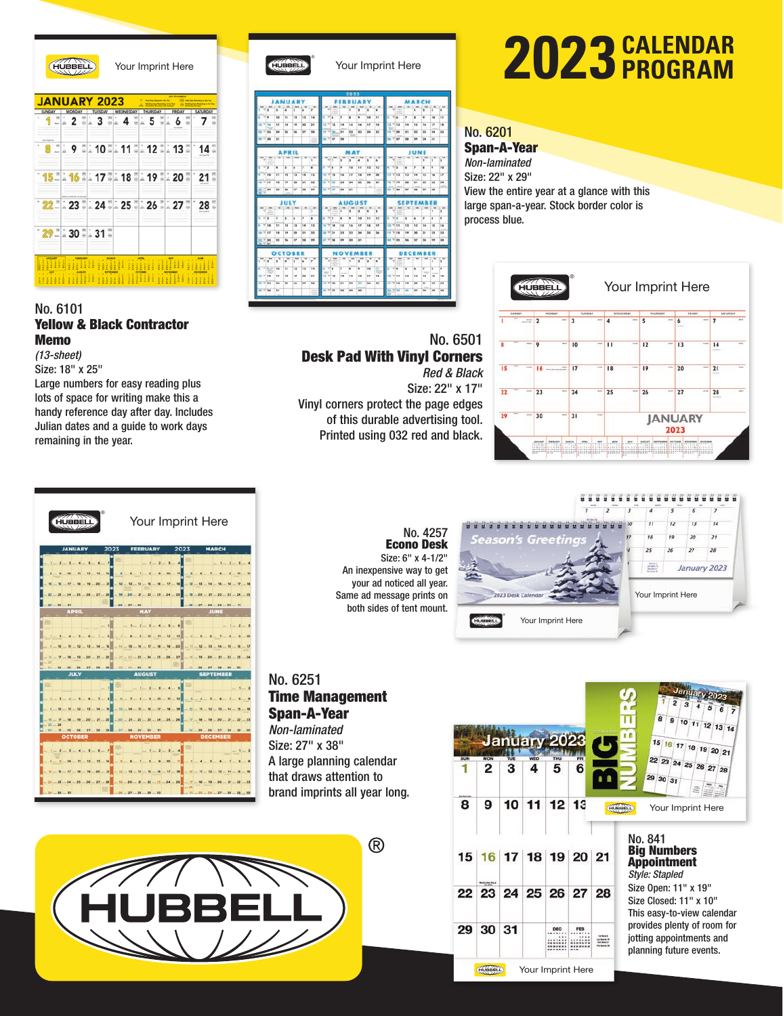

Your Imprint Here



#### No. 6101 Yellow & Black Contractor Memo *(13-sheet)*

Size: 18" x 25" Large numbers for easy reading plus lots of space for writing make this a handy reference day after day. Includes Julian dates and a guide to work days remaining in the year.





®

#### Your Imprint Here

| э               | ä                                   | s           | ä                    | $\overline{z}$                                  |             |           |                                                                                                                                                                                               | ī                        | ä               | $\overline{a}$                         | ٠                                               |                                            |        |                                                                                                                                                                                                                                         | ī                       | ٠              | э                  | $M = 1.36$<br>٠                                            |
|-----------------|-------------------------------------|-------------|----------------------|-------------------------------------------------|-------------|-----------|-----------------------------------------------------------------------------------------------------------------------------------------------------------------------------------------------|--------------------------|-----------------|----------------------------------------|-------------------------------------------------|--------------------------------------------|--------|-----------------------------------------------------------------------------------------------------------------------------------------------------------------------------------------------------------------------------------------|-------------------------|----------------|--------------------|------------------------------------------------------------|
| 10              | 11                                  | 12          | 13                   | 14                                              | v           |           | э                                                                                                                                                                                             | ٠                        | ٠               | 10                                     | $\overline{11}$                                 | ï                                          |        | y                                                                                                                                                                                                                                       | ×                       | ٠              | 10                 | 11                                                         |
| $\overline{17}$ | 14                                  | 14          | $^{16}$              | 'n                                              |             |           | 14                                                                                                                                                                                            | $15 -$                   | is.             | 8.7                                    | 38                                              |                                            |        | 14                                                                                                                                                                                                                                      | 15                      | Ió.            | $\overline{17}$    | 14                                                         |
| 24              | 25                                  | 34          | 27                   | 28                                              |             |           | 21                                                                                                                                                                                            | 22                       | 23              | 34                                     | 35                                              |                                            |        | m                                                                                                                                                                                                                                       | 22                      | 73             | 24                 | 25                                                         |
| 31              |                                     |             |                      |                                                 |             |           | 28                                                                                                                                                                                            |                          |                 |                                        |                                                 |                                            |        | 28                                                                                                                                                                                                                                      | w                       | bb             | 31                 |                                                            |
|                 |                                     |             |                      |                                                 |             |           |                                                                                                                                                                                               |                          |                 |                                        |                                                 |                                            |        |                                                                                                                                                                                                                                         |                         |                |                    |                                                            |
| w               | w                                   | <b>Wide</b> | $\rightarrow$        | $\rightarrow$<br>Ŧ                              |             | w         | $\sim$<br>$\rightarrow$                                                                                                                                                                       | $\rightarrow$<br>à       | w<br>٠          | ×<br>٠                                 | $\overline{\phantom{a}}$<br>٠                   | $\rightarrow$                              | 1.386  | w                                                                                                                                                                                                                                       | ÷                       | <b>SH</b><br>٠ | ٠                  | $\sim$<br>з                                                |
| ×               | ×                                   | ۰           |                      | <b>Area</b><br>×                                |             |           | ¥                                                                                                                                                                                             | 16                       | H               | 12                                     | 13                                              | z                                          | к      | ٠                                                                                                                                                                                                                                       | y                       | ٠              | ٠                  | 1d                                                         |
| 11              | 52                                  | 13          | 14                   | 15                                              |             |           | 16                                                                                                                                                                                            | 17                       | $\overline{18}$ | 14                                     | 10                                              |                                            |        | 13                                                                                                                                                                                                                                      | 14                      | 15             | 1A                 | 17                                                         |
| 14              | 19                                  | 20          | 11                   | 22                                              |             |           | 23                                                                                                                                                                                            | 24                       | 25              | 26                                     | 27                                              |                                            |        | 20 <sub>0</sub>                                                                                                                                                                                                                         | 21                      | 22             | 23                 | 24                                                         |
| 25              | 24                                  | ÷           | 28                   | $\rightarrow$                                   |             |           | 30                                                                                                                                                                                            | 51                       |                 |                                        |                                                 |                                            |        | $\overline{12}$                                                                                                                                                                                                                         | $\overline{\mathbf{u}}$ | 29             | 20                 | $-403$                                                     |
|                 |                                     |             |                      |                                                 |             |           |                                                                                                                                                                                               |                          |                 |                                        |                                                 |                                            |        |                                                                                                                                                                                                                                         |                         |                |                    | ×                                                          |
|                 |                                     |             |                      | x                                               |             |           | п                                                                                                                                                                                             | ٠                        | $\overline{a}$  | ٠                                      | x                                               |                                            |        |                                                                                                                                                                                                                                         |                         |                | ×                  | ×                                                          |
|                 | s                                   | ٠           | y                    | ٠                                               | ×           |           | ٠                                                                                                                                                                                             | ٠                        | tò              | 33                                     | 32                                              | s                                          |        | ٠                                                                                                                                                                                                                                       | ۰                       | y              | ٠                  | ٠                                                          |
| 11              | 12                                  | 15          | 14                   | 15                                              |             |           | 15                                                                                                                                                                                            | 16                       | 17              | 14                                     | 34                                              |                                            |        | 12                                                                                                                                                                                                                                      | 13                      | 14             | 15                 | 14                                                         |
| 18              | $\overline{1}$                      | 20          | $\overline{1}$       | 22                                              |             |           | 12                                                                                                                                                                                            | 22                       | 24              | 33                                     | 36                                              |                                            |        | 19                                                                                                                                                                                                                                      | 20                      | 21             | 22                 | 23                                                         |
| 25              | 56                                  | 27          | 28                   | 29                                              |             |           | 29                                                                                                                                                                                            | $\overline{\phantom{a}}$ | 31              |                                        |                                                 |                                            |        | 26                                                                                                                                                                                                                                      | w                       | 24             | $\frac{1}{2}$      | 30                                                         |
|                 |                                     |             |                      |                                                 |             |           |                                                                                                                                                                                               |                          |                 |                                        |                                                 |                                            |        |                                                                                                                                                                                                                                         |                         |                |                    |                                                            |
| ÷<br>ä          | ÷<br>٠                              | $\sim$<br>× | ٠                    | $\overline{\phantom{a}}$                        | ÷           | $\cdots$  |                                                                                                                                                                                               | ×                        | ä               | $\overline{\mathbf{a}}$                | ٠                                               | ÷                                          | $\sim$ |                                                                                                                                                                                                                                         |                         |                | ٠<br>٠             | w<br>ı                                                     |
| 10              | m                                   | 12          | 13                   | 14                                              | ٠           | ٠         | y                                                                                                                                                                                             | <b>STAR</b><br>٠         | ٠               | 10                                     | $\mathbf{r}$                                    | ь                                          |        | s                                                                                                                                                                                                                                       | ۰                       | y              | ٠                  | ٠                                                          |
| <b>XP</b>       | 18                                  | 19          | 30                   | 21                                              |             |           | 14                                                                                                                                                                                            | 15                       | <b>Ink</b>      | <b>KP</b>                              | 18                                              |                                            |        | 22                                                                                                                                                                                                                                      | $13-$                   | 14             | 15                 | 14                                                         |
|                 |                                     | 34          | 77                   | 28                                              | 18.7730     |           | 21                                                                                                                                                                                            | 22                       | $\overline{ }$  | 34                                     | 21                                              | 17.718                                     |        | 15                                                                                                                                                                                                                                      | 20 <sub>0</sub>         | 71             | 22                 | 23                                                         |
| 24              | 25                                  |             |                      |                                                 |             |           |                                                                                                                                                                                               |                          |                 |                                        |                                                 |                                            |        |                                                                                                                                                                                                                                         |                         |                |                    |                                                            |
|                 | $\sim$<br>$rac{1}{2} = \frac{1}{2}$ | $\sim$      | <b>APRIL</b><br>JULY | <b>IANUARY</b><br>٠<br>w<br><b>OCTOBER</b><br>٠ | $\sim$<br>× | $-1$<br>w | <b>Ha</b><br>$18 - 18$<br><b>IF 17 36</b><br>18.7727<br>$\rightarrow$<br>$1 - 16$<br>18 T 16<br>11 7 11<br>18 7 18<br>mg<br>w<br>1/3<br>(3.7) 14<br>38 7 31<br>17 1/ 28<br>$\sim$<br>12.77.13 | <b>STA</b>               | m<br>w          | 2023<br><b>MAY</b><br><b>Side</b><br>w | ×<br><b>AUGUST</b><br>×<br><b>NOVEMBER</b><br>٠ | <b>TIME</b><br>$\sim$<br>$^{36}$<br>≖<br>轴 | w<br>w | <b>Sec</b><br>Y's<br>18 77 43<br><b>H 7 30</b><br>$= 77.99$<br>w<br><b>18 V 19</b><br>7111<br><b>SR V 36</b><br>w<br>$V_{14}$<br><b>IS 7 11</b><br><b>IF VISE</b><br><b>18 V 25</b><br>Υŕ<br>$v_{\parallel 4}$<br><b><i>in view</i></b> |                         |                | JUNE<br><b>YOU</b> | MARCH<br><b>SEPTEMBER</b><br><b>DECEMBER</b><br><b>TOP</b> |

# **CALENDAR 2023 PROGRAM**

#### No. 6201

Span-A-Year

*Non-laminated* Size: 22" x 29" View the entire year at a glance with this large span-a-year. Stock border color is process blue.



#### No. 6501 Desk Pad With Vinyl Corners *Red & Black*

Size: 22" x 17" Vinyl corners protect the page edges of this durable advertising tool. Printed using 032 red and black.



No. 4257 Econo Desk Size: 6" x 4-1/2" An inexpensive way to get your ad noticed all year. Same ad message prints on both sides of tent mount.

No. 6251 Time Management Span-A-Year *Non-laminated*

Size: 27" x 38" A large planning calendar that draws attention to brand imprints all year long.



|     |                 | January 2 |                 |                      |          |                             | January 2023<br>$\overline{a}$<br>8<br>9<br>10 11 12 13 14<br>n n<br>15 16 17 18 19 20 21                        |
|-----|-----------------|-----------|-----------------|----------------------|----------|-----------------------------|------------------------------------------------------------------------------------------------------------------|
| SUN | MON<br>2        | TUE<br>з  | <b>WED</b><br>Δ | THU<br>5             | FRI<br>6 |                             | 22 23 24 25 26 27 28<br>29 30 31                                                                                 |
| 8   | 9               | 10        | 11              | 12                   | 13       |                             | 岛<br>HUBBELL<br>Your Imprint Here                                                                                |
|     |                 |           |                 | 15 16 17 18 19 20 21 |          |                             | No. 841<br><b>Big Numbers</b><br><b>Appointment</b><br><b>Style: Stapled</b>                                     |
|     |                 |           |                 | 22 23 24 25 26 27 28 |          |                             | Size Open: 11" x 19"<br>Size Closed: 11" x 10"                                                                   |
| 29  | 30 <sup>1</sup> | 31        |                 | DEC                  | FER      | <b>British Street Links</b> | This easy-to-view calendar<br>provides plenty of room for<br>jotting appointments and<br>planning future events. |

**CONSERVENT** Your Imprint Here